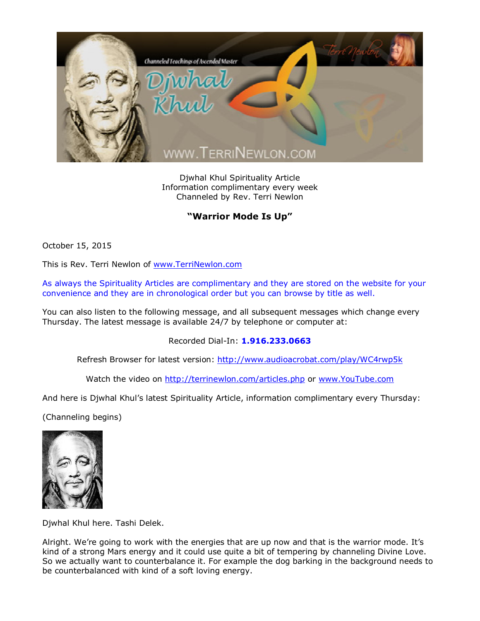

Djwhal Khul Spirituality Article Information complimentary every week Channeled by Rev. Terri Newlon

## **"Warrior Mode Is Up"**

October 15, 2015

This is Rev. Terri Newlon of [www.TerriNewlon.com](http://www.terrinewlon.com/)

As always the Spirituality Articles are complimentary and they are stored on the website for your convenience and they are in chronological order but you can browse by title as well.

You can also listen to the following message, and all subsequent messages which change every Thursday. The latest message is available 24/7 by telephone or computer at:

Recorded Dial-In: **1.916.233.0663**

Refresh Browser for latest version: <http://www.audioacrobat.com/play/WC4rwp5k>

Watch the video on <http://terrinewlon.com/articles.php> or [www.YouTube.com](http://www.youtube.com/)

And here is Djwhal Khul's latest Spirituality Article, information complimentary every Thursday:

(Channeling begins)



Djwhal Khul here. Tashi Delek.

Alright. We're going to work with the energies that are up now and that is the warrior mode. It's kind of a strong Mars energy and it could use quite a bit of tempering by channeling Divine Love. So we actually want to counterbalance it. For example the dog barking in the background needs to be counterbalanced with kind of a soft loving energy.